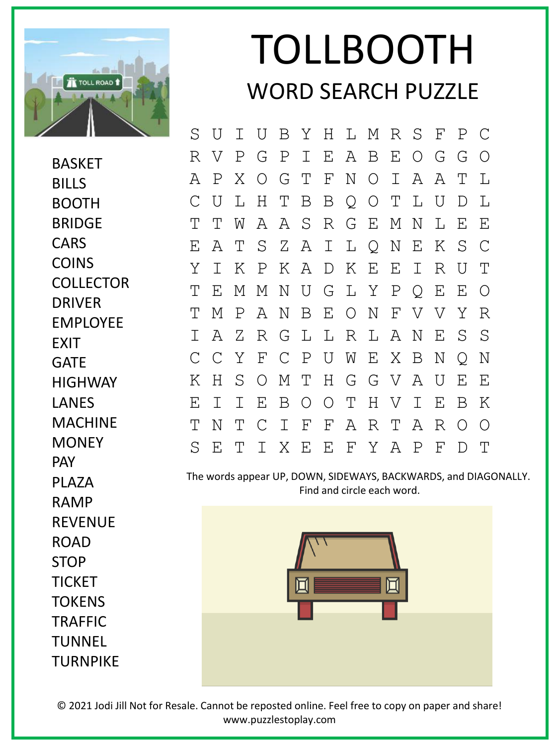

BASKET **BILLS** 

BOOTH BRIDGE

**CARS** 

**COINS** 

**COLLECTOR** 

## TOLLBOOTH WORD SEARCH PUZZLE

S U I U B Y H L M R S F P C R V P G P I E A B E O G G O A P X O G T F N O I A A T L C U L H T B B Q O T L U D L T T W A A S R G E M N L E E E A T S Z A I L Q N E K S C Y I K P K A D K E E I R U T T E M M N U G L Y P Q E E O T M P A N B E O N F V V Y R I A Z R G L L R L A N E S S C C Y F C P U W E X B N Q N K H S O M T H G G V A U E E E I I E B O O T H V I E B K T N T C I F F A R T A R O O S E T I X E E F Y A P F D T

The words appear UP, DOWN, SIDEWAYS, BACKWARDS, and DIAGONALLY. Find and circle each word.



© 2021 Jodi Jill Not for Resale. Cannot be reposted online. Feel free to copy on paper and share! www.puzzlestoplay.com

DRIVER EMPLOYEE **FXIT** GATE **HIGHWAY** LANES MACHINE **MONEY** PAY PI A7A RAMP REVENUE ROAD STOP TICKET TOKENS **TRAFFIC** TUNNEL TURNPIKE